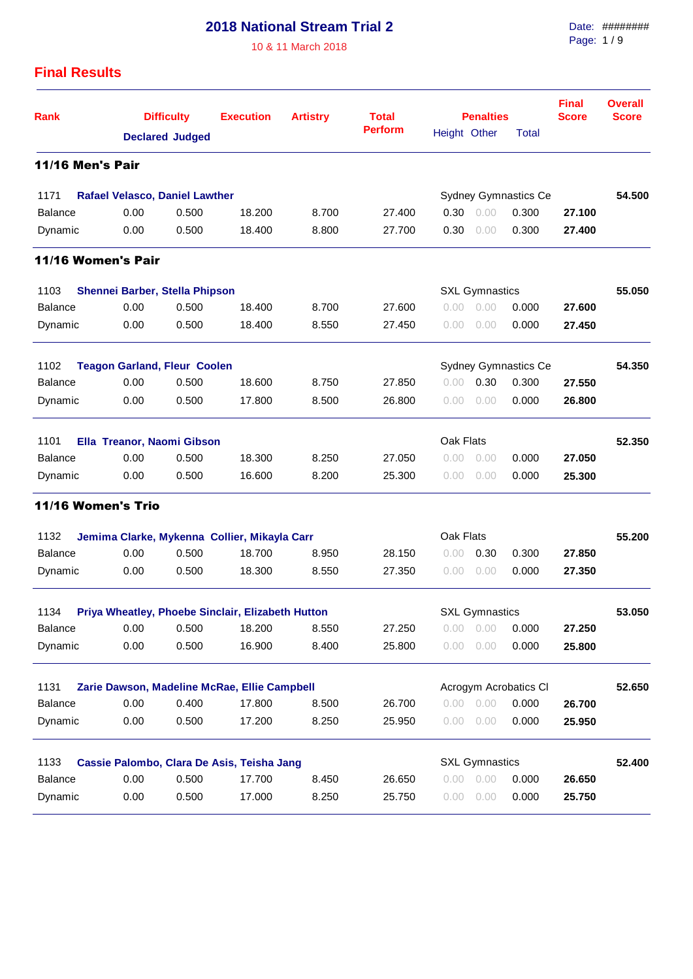10 & 11 March 2018

Date: ######## Page: 1 / 9

## **Final Results**

| <b>Rank</b>                                                         |                                       | <b>Difficulty</b><br><b>Declared Judged</b> |                                                   | <b>Artistry</b> | <b>Total</b>   |              | <b>Penalties</b>      | <b>Final</b><br><b>Score</b> | <b>Overall</b><br><b>Score</b> |        |
|---------------------------------------------------------------------|---------------------------------------|---------------------------------------------|---------------------------------------------------|-----------------|----------------|--------------|-----------------------|------------------------------|--------------------------------|--------|
|                                                                     |                                       |                                             |                                                   |                 | <b>Perform</b> | Height Other |                       | Total                        |                                |        |
| <b>11/16 Men's Pair</b>                                             |                                       |                                             |                                                   |                 |                |              |                       |                              |                                |        |
| 1171                                                                | <b>Rafael Velasco, Daniel Lawther</b> |                                             |                                                   |                 |                |              |                       | Sydney Gymnastics Ce         |                                | 54.500 |
| <b>Balance</b>                                                      | 0.00                                  | 0.500                                       | 18.200                                            | 8.700           | 27.400         | 0.30         | 0.00                  | 0.300                        | 27.100                         |        |
| Dynamic                                                             | 0.00                                  | 0.500                                       | 18.400                                            | 8.800           | 27.700         | 0.30         | 0.00                  | 0.300                        | 27.400                         |        |
| 11/16 Women's Pair                                                  |                                       |                                             |                                                   |                 |                |              |                       |                              |                                |        |
| 1103                                                                | Shennei Barber, Stella Phipson        |                                             |                                                   |                 |                |              | <b>SXL Gymnastics</b> |                              |                                | 55.050 |
| <b>Balance</b>                                                      | 0.00                                  | 0.500                                       | 18.400                                            | 8.700           | 27.600         | 0.00         | 0.00                  | 0.000                        | 27.600                         |        |
| Dynamic                                                             | 0.00                                  | 0.500                                       | 18.400                                            | 8.550           | 27.450         | 0.00         | 0.00                  | 0.000                        | 27.450                         |        |
| 1102<br>Sydney Gymnastics Ce<br><b>Teagon Garland, Fleur Coolen</b> |                                       |                                             |                                                   |                 |                |              |                       |                              | 54.350                         |        |
| <b>Balance</b>                                                      | 0.00                                  | 0.500                                       | 18.600                                            | 8.750           | 27,850         | 0.00         | 0.30                  | 0.300                        | 27.550                         |        |
| Dynamic                                                             | 0.00                                  | 0.500                                       | 17.800                                            | 8.500           | 26.800         | 0.00         | 0.00                  | 0.000                        | 26.800                         |        |
| 1101<br>Ella Treanor, Naomi Gibson                                  |                                       |                                             |                                                   |                 |                | Oak Flats    |                       |                              |                                | 52.350 |
| <b>Balance</b>                                                      | 0.00                                  | 0.500                                       | 18.300                                            | 8.250           | 27.050         | 0.00         | 0.00                  | 0.000                        | 27.050                         |        |
| Dynamic                                                             | 0.00                                  | 0.500                                       | 16.600                                            | 8.200           | 25.300         | 0.00         | 0.00                  | 0.000                        | 25.300                         |        |
| 11/16 Women's Trio                                                  |                                       |                                             |                                                   |                 |                |              |                       |                              |                                |        |
| 1132                                                                |                                       |                                             | Jemima Clarke, Mykenna Collier, Mikayla Carr      |                 |                | Oak Flats    |                       |                              |                                | 55.200 |
| <b>Balance</b>                                                      | 0.00                                  | 0.500                                       | 18.700                                            | 8.950           | 28.150         | 0.00         | 0.30                  | 0.300                        | 27.850                         |        |
| Dynamic                                                             | 0.00                                  | 0.500                                       | 18.300                                            | 8.550           | 27.350         | 0.00         | 0.00                  | 0.000                        | 27.350                         |        |
| 1134                                                                |                                       |                                             | Priya Wheatley, Phoebe Sinclair, Elizabeth Hutton |                 |                |              | <b>SXL Gymnastics</b> |                              |                                | 53.050 |
| Balance                                                             | 0.00                                  | 0.500                                       | 18.200                                            | 8.550           | 27.250         | 0.00         | 0.00                  | 0.000                        | 27.250                         |        |
| Dynamic                                                             | 0.00                                  | 0.500                                       | 16.900                                            | 8.400           | 25.800         | 0.00         | 0.00                  | 0.000                        | 25.800                         |        |
| 1131                                                                |                                       |                                             | Zarie Dawson, Madeline McRae, Ellie Campbell      |                 |                |              |                       | Acrogym Acrobatics Cl        |                                | 52.650 |
| Balance                                                             | 0.00                                  | 0.400                                       | 17.800                                            | 8.500           | 26.700         |              | 0.00 0.00             | 0.000                        | 26.700                         |        |
| Dynamic                                                             | 0.00                                  | 0.500                                       | 17.200                                            | 8.250           | 25.950         |              | $0.00 \quad 0.00$     | 0.000                        | 25.950                         |        |
| 1133                                                                |                                       |                                             | Cassie Palombo, Clara De Asis, Teisha Jang        |                 |                |              | <b>SXL Gymnastics</b> |                              |                                | 52.400 |
| Balance                                                             | 0.00                                  | 0.500                                       | 17.700                                            | 8.450           | 26.650         |              | 0.00 0.00             | 0.000                        | 26.650                         |        |
| Dynamic                                                             | 0.00                                  | 0.500                                       | 17.000                                            | 8.250           | 25.750         | 0.00         | 0.00                  | 0.000                        | 25.750                         |        |
|                                                                     |                                       |                                             |                                                   |                 |                |              |                       |                              |                                |        |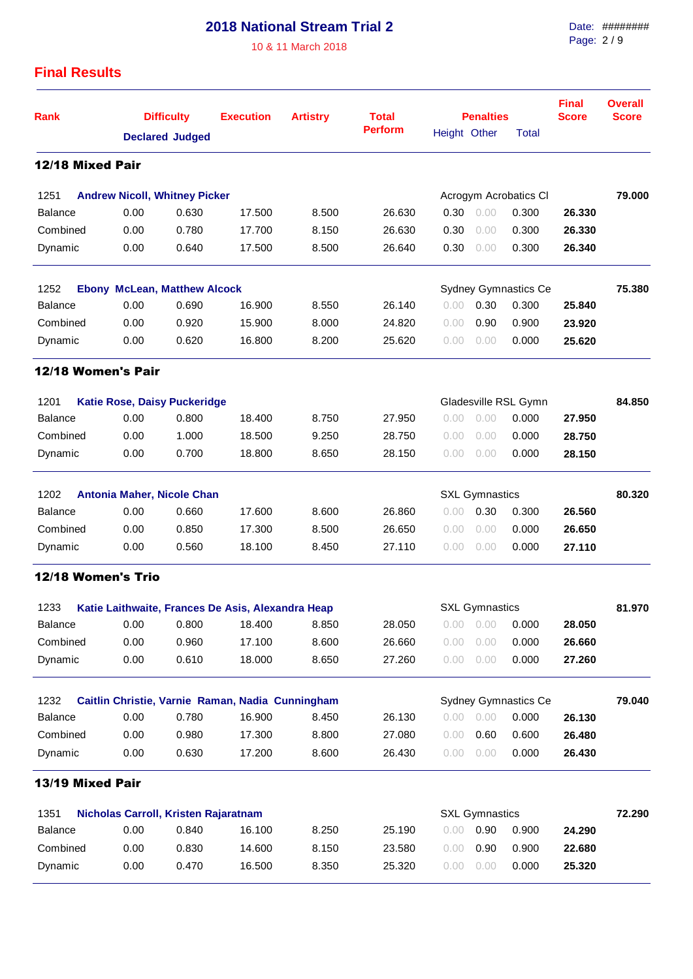10 & 11 March 2018

Date: ######## Page: 2 / 9

### **Final Results**

| Rank                                         |                                                   | <b>Difficulty</b>      | <b>Execution</b>                                 | <b>Artistry</b> | <b>Total</b>   |              | <b>Penalties</b>      |                       | <b>Final</b><br><b>Score</b> | <b>Overall</b><br><b>Score</b> |
|----------------------------------------------|---------------------------------------------------|------------------------|--------------------------------------------------|-----------------|----------------|--------------|-----------------------|-----------------------|------------------------------|--------------------------------|
|                                              |                                                   | <b>Declared Judged</b> |                                                  |                 | <b>Perform</b> | Height Other |                       | <b>Total</b>          |                              |                                |
| 12/18 Mixed Pair                             |                                                   |                        |                                                  |                 |                |              |                       |                       |                              |                                |
| 1251                                         | <b>Andrew Nicoll, Whitney Picker</b>              |                        |                                                  |                 |                |              |                       | Acrogym Acrobatics CI |                              | 79.000                         |
| <b>Balance</b>                               | 0.00                                              | 0.630                  | 17.500                                           | 8.500           | 26.630         | 0.30         | 0.00                  | 0.300                 | 26.330                       |                                |
| Combined                                     | 0.00                                              | 0.780                  | 17.700                                           | 8.150           | 26.630         | 0.30         | 0.00                  | 0.300                 | 26.330                       |                                |
| Dynamic                                      | 0.00                                              | 0.640                  | 17.500                                           | 8.500           | 26.640         | 0.30         | 0.00                  | 0.300                 | 26.340                       |                                |
| 1252                                         | <b>Ebony McLean, Matthew Alcock</b>               |                        |                                                  |                 |                |              |                       | Sydney Gymnastics Ce  |                              | 75.380                         |
| <b>Balance</b>                               | 0.00                                              | 0.690                  | 16.900                                           | 8.550           | 26.140         | 0.00         | 0.30                  | 0.300                 | 25.840                       |                                |
| Combined                                     | 0.00                                              | 0.920                  | 15.900                                           | 8.000           | 24.820         | 0.00         | 0.90                  | 0.900                 | 23.920                       |                                |
| Dynamic                                      | 0.00                                              | 0.620                  | 16.800                                           | 8.200           | 25.620         | 0.00         | 0.00                  | 0.000                 | 25.620                       |                                |
| 12/18 Women's Pair                           |                                                   |                        |                                                  |                 |                |              |                       |                       |                              |                                |
| 1201                                         | <b>Katie Rose, Daisy Puckeridge</b>               |                        |                                                  |                 |                |              |                       | Gladesville RSL Gymn  |                              | 84.850                         |
| <b>Balance</b>                               | 0.00                                              | 0.800                  | 18.400                                           | 8.750           | 27.950         | 0.00         | 0.00                  | 0.000                 | 27.950                       |                                |
| Combined                                     | 0.00                                              | 1.000                  | 18.500                                           | 9.250           | 28.750         | 0.00         | 0.00                  | 0.000                 | 28.750                       |                                |
| Dynamic                                      | 0.00                                              | 0.700                  | 18.800                                           | 8.650           | 28.150         | 0.00         | 0.00                  | 0.000                 | 28.150                       |                                |
| 1202                                         | Antonia Maher, Nicole Chan                        |                        |                                                  |                 |                |              | <b>SXL Gymnastics</b> |                       |                              | 80.320                         |
| <b>Balance</b>                               | 0.00                                              | 0.660                  | 17.600                                           | 8.600           | 26.860         | 0.00         | 0.30                  | 0.300                 | 26.560                       |                                |
| Combined                                     | 0.00                                              | 0.850                  | 17.300                                           | 8.500           | 26.650         | 0.00         | 0.00                  | 0.000                 | 26.650                       |                                |
| Dynamic                                      | 0.00                                              | 0.560                  | 18.100                                           | 8.450           | 27.110         | 0.00         | 0.00                  | 0.000                 | 27.110                       |                                |
| <b>12/18 Women's Trio</b>                    |                                                   |                        |                                                  |                 |                |              |                       |                       |                              |                                |
| 1233                                         | Katie Laithwaite, Frances De Asis, Alexandra Heap |                        |                                                  |                 |                |              | <b>SXL Gymnastics</b> |                       |                              | 81.970                         |
| <b>Balance</b>                               | 0.00                                              | 0.800                  | 18.400                                           | 8.850           | 28.050         | 0.00         | 0.00                  | 0.000                 | 28.050                       |                                |
| Combined                                     | 0.00                                              | 0.960                  | 17.100                                           | 8.600           | 26.660         | 0.00         | 0.00                  | 0.000                 | 26.660                       |                                |
| Dynamic                                      | 0.00                                              | 0.610                  | 18.000                                           | 8.650           | 27.260         | 0.00         | 0.00                  | 0.000                 | 27.260                       |                                |
| 1232                                         |                                                   |                        | Caitlin Christie, Varnie Raman, Nadia Cunningham |                 |                |              |                       | Sydney Gymnastics Ce  |                              | 79.040                         |
| Balance                                      | 0.00                                              | 0.780                  | 16.900                                           | 8.450           | 26.130         | 0.00         | 0.00                  | 0.000                 | 26.130                       |                                |
| Combined                                     | 0.00                                              | 0.980                  | 17.300                                           | 8.800           | 27.080         | 0.00         | 0.60                  | 0.600                 | 26.480                       |                                |
| Dynamic                                      | 0.00                                              | 0.630                  | 17.200                                           | 8.600           | 26.430         | 0.00         | 0.00                  | 0.000                 | 26.430                       |                                |
| 13/19 Mixed Pair                             |                                                   |                        |                                                  |                 |                |              |                       |                       |                              |                                |
| 1351<br>Nicholas Carroll, Kristen Rajaratnam |                                                   |                        |                                                  |                 |                |              | <b>SXL Gymnastics</b> |                       |                              | 72.290                         |
| <b>Balance</b>                               | 0.00                                              | 0.840                  | 16.100                                           | 8.250           | 25.190         | 0.00         | 0.90                  | 0.900                 | 24.290                       |                                |
| Combined                                     | 0.00                                              | 0.830                  | 14.600                                           | 8.150           | 23.580         | 0.00         | 0.90                  | 0.900                 | 22.680                       |                                |
| Dynamic                                      | 0.00                                              | 0.470                  | 16.500                                           | 8.350           | 25.320         | 0.00         | 0.00                  | 0.000                 | 25.320                       |                                |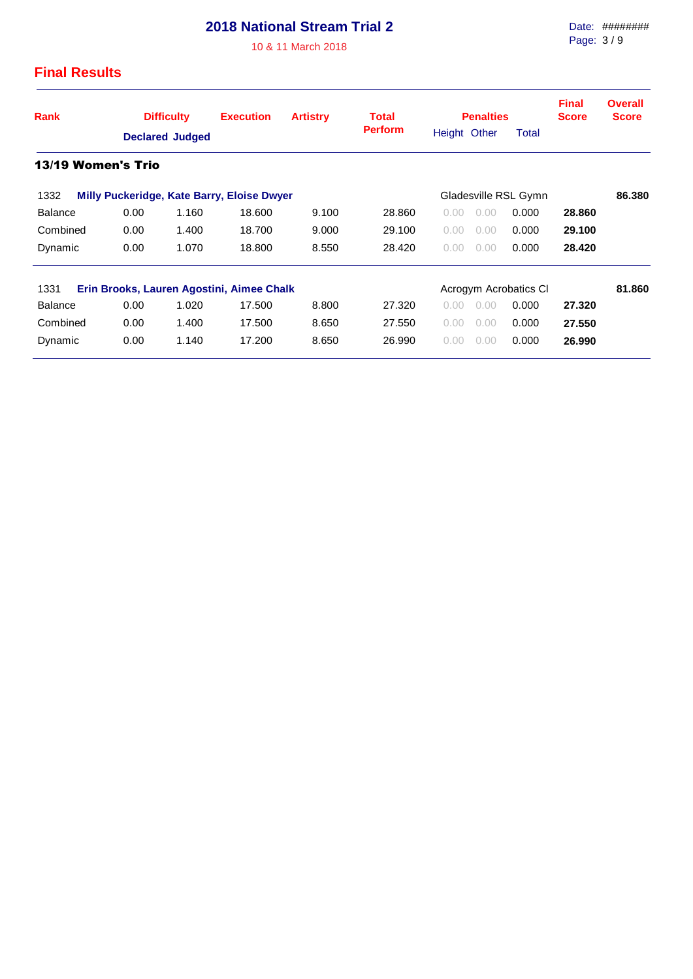10 & 11 March 2018

#### Date: ######## Page: 3 / 9

#### **Final Results**

| Rank               | <b>Difficulty</b><br><b>Declared Judged</b> |       | <b>Execution</b><br><b>Artistry</b>        |       | <b>Total</b><br><b>Perform</b> | <b>Penalties</b><br>Height Other | Total | <b>Final</b><br><b>Score</b> | <b>Overall</b><br><b>Score</b> |
|--------------------|---------------------------------------------|-------|--------------------------------------------|-------|--------------------------------|----------------------------------|-------|------------------------------|--------------------------------|
| 13/19 Women's Trio |                                             |       |                                            |       |                                |                                  |       |                              |                                |
| 1332               |                                             |       | Milly Puckeridge, Kate Barry, Eloise Dwyer |       |                                | Gladesville RSL Gymn             |       |                              | 86.380                         |
| <b>Balance</b>     | 0.00                                        | 1.160 | 18.600                                     | 9.100 | 28,860                         | 0.00<br>0.00                     | 0.000 | 28,860                       |                                |
| Combined           | 0.00                                        | 1.400 | 18.700                                     | 9.000 | 29.100                         | 0.00<br>0.00                     | 0.000 | 29.100                       |                                |
| Dynamic            | 0.00                                        | 1.070 | 18,800                                     | 8.550 | 28.420                         | 0.00<br>0.00                     | 0.000 | 28.420                       |                                |
| 1331               |                                             |       | Erin Brooks, Lauren Agostini, Aimee Chalk  |       |                                | Acrogym Acrobatics CI            |       |                              | 81.860                         |
| <b>Balance</b>     | 0.00                                        | 1.020 | 17.500                                     | 8.800 | 27.320                         | 0.00<br>0.00                     | 0.000 | 27.320                       |                                |
| Combined           | 0.00                                        | 1.400 | 17.500                                     | 8.650 | 27.550                         | 0.00<br>0.00                     | 0.000 | 27.550                       |                                |
| Dynamic            | 0.00                                        | 1.140 | 17.200                                     | 8.650 | 26,990                         | 0.00<br>0.00                     | 0.000 | 26.990                       |                                |